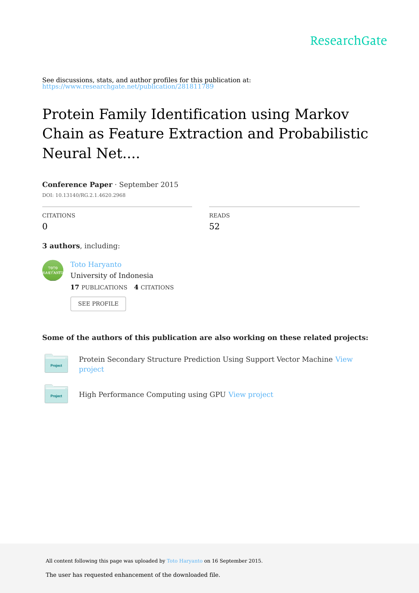See discussions, stats, and author profiles for this publication at: [https://www.researchgate.net/publication/281811789](https://www.researchgate.net/publication/281811789_Protein_Family_Identification_using_Markov_Chain_as_Feature_Extraction_and_Probabilistic_Neural_Network_PNN_as_Classifier?enrichId=rgreq-d58c26b0df1069e08cc8d2fc2e5a3a39-XXX&enrichSource=Y292ZXJQYWdlOzI4MTgxMTc4OTtBUzoyNzQyMzI4OTAzNTk4MDhAMTQ0MjM5MzYyNDMwMQ%3D%3D&el=1_x_2&_esc=publicationCoverPdf)

# Protein Family Identification using Markov Chain as Feature Extraction and Probabilistic Neural Net....

|                  | <b>Conference Paper</b> $\cdot$ September 2015<br>DOI: 10.13140/RG.2.1.4620.2968 |              |
|------------------|----------------------------------------------------------------------------------|--------------|
|                  |                                                                                  |              |
| <b>CITATIONS</b> |                                                                                  | <b>READS</b> |
| 0                |                                                                                  | 52           |
| <b>TOTO</b>      | <b>3 authors</b> , including:<br><b>Toto Haryanto</b>                            |              |
| <b>HARYANTO</b>  | University of Indonesia                                                          |              |
|                  | <b>17 PUBLICATIONS 4 CITATIONS</b>                                               |              |
|                  | <b>SEE PROFILE</b>                                                               |              |

### **Some of the authors of this publication are also working on these related projects:**



Protein [Secondary](https://www.researchgate.net/project/Protein-Secondary-Structure-Prediction-Using-Support-Vector-Machine?enrichId=rgreq-d58c26b0df1069e08cc8d2fc2e5a3a39-XXX&enrichSource=Y292ZXJQYWdlOzI4MTgxMTc4OTtBUzoyNzQyMzI4OTAzNTk4MDhAMTQ0MjM5MzYyNDMwMQ%3D%3D&el=1_x_9&_esc=publicationCoverPdf) Structure Prediction Using Support Vector Machine View project



High Performance Computing using GPU View [project](https://www.researchgate.net/project/High-Performance-Computing-using-GPU?enrichId=rgreq-d58c26b0df1069e08cc8d2fc2e5a3a39-XXX&enrichSource=Y292ZXJQYWdlOzI4MTgxMTc4OTtBUzoyNzQyMzI4OTAzNTk4MDhAMTQ0MjM5MzYyNDMwMQ%3D%3D&el=1_x_9&_esc=publicationCoverPdf)

All content following this page was uploaded by Toto [Haryanto](https://www.researchgate.net/profile/Toto_Haryanto2?enrichId=rgreq-d58c26b0df1069e08cc8d2fc2e5a3a39-XXX&enrichSource=Y292ZXJQYWdlOzI4MTgxMTc4OTtBUzoyNzQyMzI4OTAzNTk4MDhAMTQ0MjM5MzYyNDMwMQ%3D%3D&el=1_x_10&_esc=publicationCoverPdf) on 16 September 2015.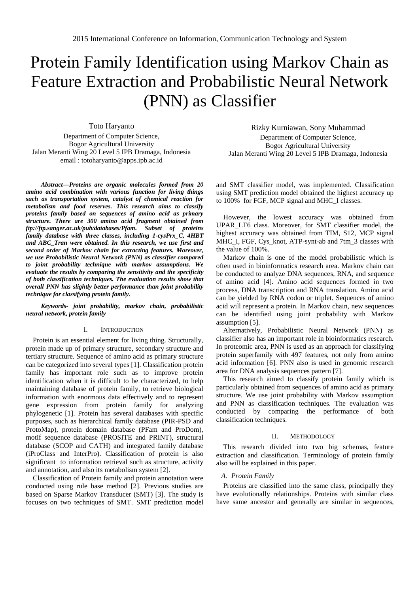## Protein Family Identification using Markov Chain as Feature Extraction and Probabilistic Neural Network (PNN) as Classifier

Toto Haryanto

Department of Computer Science, Bogor Agricultural University Jalan Meranti Wing 20 Level 5 IPB Dramaga, Indonesia email : [totoharyanto@apps.ipb.ac.id](mailto:totoharyanto@apps.ipb.ac.id)

*Abstract—Proteins are organic molecules formed from 20 amino acid combination with various function for living things such as transportation system, catalyst of chemical reaction for metabolism and food reserves. This research aims to classify proteins family based on sequences of amino acid as primary structure. There are 300 amino acid fragment obtained from [ftp://ftp.sanger.ac.uk/pub/databases/Pfam.](ftp://ftp.sanger.ac.uk/pub/databases/Pfam) Subset of proteins family database with three classes, including 1-cysPrx\_C, 4HBT and ABC\_Tran were obtained. In this research, we use first and second order of Markov chain for extracting features. Moreover, we use Probabilistic Neural Network (PNN) as classifier compared to joint probability technique with markov assumptions. We evaluate the results by comparing the sensitivity and the specificity of both classification techniques. The evaluation results show that overall PNN has slightly better performance than joint probability technique for classifying protein family.*

*Keywords- joint probability, markov chain, probabilistic neural network, protein family*

#### I. INTRODUCTION

Protein is an essential element for living thing. Structurally, protein made up of primary structure, secondary structure and tertiary structure. Sequence of amino acid as primary structure can be categorized into several types [1]. Classification protein family has important role such as to improve protein identification when it is difficult to be characterized, to help maintaining database of protein family, to retrieve biological information with enormous data effectively and to represent gene expression from protein family for analyzing phylogenetic [1]. Protein has several databases with specific purposes, such as hierarchical family database (PIR-PSD and ProtoMap), protein domain database (PFam and ProDom), motif sequence database (PROSITE and PRINT), structural database (SCOP and CATH) and integrated family database (iProClass and InterPro). Classification of protein is also significant to information retrieval such as structure, activity and annotation, and also its metabolism system [2].

Classification of Protein family and protein annotation were conducted using rule base method [2]. Previous studies are based on Sparse Markov Transducer (SMT) [3]. The study is focuses on two techniques of SMT. SMT prediction model

Rizky Kurniawan, Sony Muhammad Department of Computer Science, Bogor Agricultural University Jalan Meranti Wing 20 Level 5 IPB Dramaga, Indonesia

and SMT classifier model, was implemented. Classification using SMT prediction model obtained the highest accuracy up to 100% for FGF, MCP signal and MHC\_I classes.

However, the lowest accuracy was obtained from UPAR\_LT6 class. Moreover, for SMT classifier model, the highest accuracy was obtained from TIM, S12, MCP signal MHC\_I, FGF, Cys\_knot, ATP-synt-ab and 7tm\_3 classes with the value of 100%.

Markov chain is one of the model probabilistic which is often used in bioinformatics research area. Markov chain can be conducted to analyze DNA sequences, RNA, and sequence of amino acid [4]. Amino acid sequences formed in two process, DNA transcription and RNA translation. Amino acid can be yielded by RNA codon or triplet. Sequences of amino acid will represent a protein. In Markov chain, new sequences can be identified using joint probability with Markov assumption [5].

Alternatively, Probabilistic Neural Network (PNN) as classifier also has an important role in bioinformatics research. In proteomic area, PNN is used as an approach for classifying protein superfamily with 497 features, not only from amino acid information [6]. PNN also is used in genomic research area for DNA analysis sequences pattern [7].

This research aimed to classify protein family which is particularly obtained from sequences of amino acid as primary structure. We use joint probability with Markov assumption and PNN as classification techniques. The evaluation was conducted by comparing the performance of both classification techniques.

#### II. METHODOLOGY

This research divided into two big schemas, feature extraction and classification. Terminology of protein family also will be explained in this paper.

#### *A. Protein Family*

Proteins are classified into the same class, principally they have evolutionally relationships. Proteins with similar class have same ancestor and generally are similar in sequences,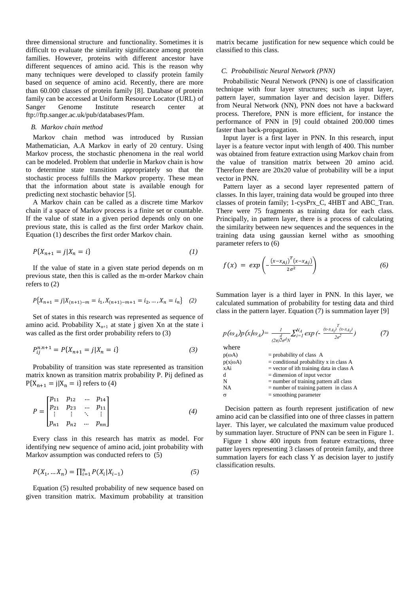three dimensional structure and functionality. Sometimes it is difficult to evaluate the similarity significance among protein families. However, proteins with different ancestor have different sequences of amino acid. This is the reason why many techniques were developed to classify protein family based on sequence of amino acid. Recently, there are more than 60.000 classes of protein family [8]. Database of protein family can be accessed at Uniform Resource Locator (URL) of Sanger Genome Institute research center at [ftp://ftp.sanger.ac.uk/pub/databases/Pfam.](ftp://ftp.sanger.ac.uk/pub/databases/Pfam) 

#### *B. Markov chain method*

Markov chain method was introduced by Russian Mathematician, A.A Markov in early of 20 century. Using Markov process, the stochastic phenomena in the real world can be modeled. Problem that underlie in Markov chain is how to determine state transition appropriately so that the stochastic process fulfills the Markov property. These mean that the information about state is available enough for predicting next stochastic behavior [5].

A Markov chain can be called as a discrete time Markov chain if a space of Markov process is a finite set or countable. If the value of state in a given period depends only on one previous state, this is called as the first order Markov chain. Equation (1) describes the first order Markov chain.

$$
P\{X_{n+1} = j | X_n = i\} \tag{1}
$$

If the value of state in a given state period depends on m previous state, then this is called as the m-order Markov chain refers to (2)

$$
P\{X_{n+1} = j | X_{(n+1)-m} = i_1, X_{(n+1)-m+1} = i_2, ..., X_n = i_n\} \quad (2)
$$

Set of states in this research was represented as sequence of amino acid. Probability  $X_{n+1}$  at state j given Xn at the state i was called as the first order probability refers to (3)

$$
P_{ij}^{n,n+1} = P\{X_{n+1} = j | X_n = i\}
$$
 (3)

Probability of transition was state represented as transition matrix known as transition matrix probability P. Pij defined as  $P{X_{n+1} = j | X_n = i}$  refers to (4)

$$
P = \begin{bmatrix} p_{11} & p_{12} & \dots & p_{14} \\ p_{21} & p_{23} & \dots & p_{11} \\ \vdots & \vdots & \ddots & \vdots \\ p_{n1} & p_{n2} & \dots & p_{nn} \end{bmatrix}
$$
 (4)

Every class in this research has matrix as model. For identifying new sequence of amino acid, joint probability with Markov assumption was conducted refers to (5)

$$
P(X_1, \dots X_n) = \prod_{i=1}^n P(X_i | X_{i-1})
$$
\n(5)

Equation (5) resulted probability of new sequence based on given transition matrix. Maximum probability at transition

matrix became justification for new sequence which could be classified to this class.

#### *C. Probabilistic Neural Network (PNN)*

Probabilistic Neural Network (PNN) is one of classification technique with four layer structures; such as input layer, pattern layer, summation layer and decision layer. Differs from Neural Network (NN), PNN does not have a backward process. Therefore, PNN is more efficient, for instance the performance of PNN in [9] could obtained 200.000 times faster than back-propagation.

Input layer is a first layer in PNN. In this research, input layer is a feature vector input with length of 400. This number was obtained from feature extraction using Markov chain from the value of transition matrix between 20 amino acid. Therefore there are 20x20 value of probability will be a input vector in PNN.

Pattern layer as a second layer represented pattern of classes. In this layer, training data would be grouped into three classes of protein family; 1-cysPrx\_C, 4HBT and ABC\_Tran. There were 75 fragments as training data for each class. Principally, in pattern layer, there is a process of calculating the similarity between new sequences and the sequences in the training data using gaussian kernel with  $\sigma$  as smoothing parameter refers to (6)

$$
f(x) = exp\left(-\frac{(x-x_{Aj})^T(x-x_{Aj})}{2\sigma^2}\right)
$$
 (6)

Summation layer is a third layer in PNN. In this layer, we calculated summation of probability for testing data and third class in the pattern layer. Equation (7) is summation layer [9]

$$
p(\omega_A)p(x|\omega_A) = \frac{1}{(2\pi)^2\sigma^d N} \sum_{i=1}^{N_A} \exp\left(-\frac{(x \cdot x_{A_i})^T (x \cdot x_{A_i})}{2\sigma^2}\right) \tag{7}
$$

where

| ,,,,,,,         |                                            |
|-----------------|--------------------------------------------|
| $p(\omega A)$   | $=$ probability of class A                 |
| $p(x \omega A)$ | $=$ conditional probability x in class A   |
| xAi             | $=$ vector of ith training data in class A |
| d               | $=$ dimension of input vector              |
| N               | $=$ number of training pattern all class   |
| NA              | $=$ number of training pattern in class A  |
| ᡴ               | $=$ smoothing parameter                    |

Decision pattern as fourth represent justification of new amino acid can be classified into one of three classes in pattern layer. This layer, we calculated the maximum value produced by summation layer. Structure of PNN can be seen in Figure 1.

Figure 1 show 400 inputs from feature extractions, three patter layers representing 3 classes of protein family, and three summation layers for each class Y as decision layer to justify classification results.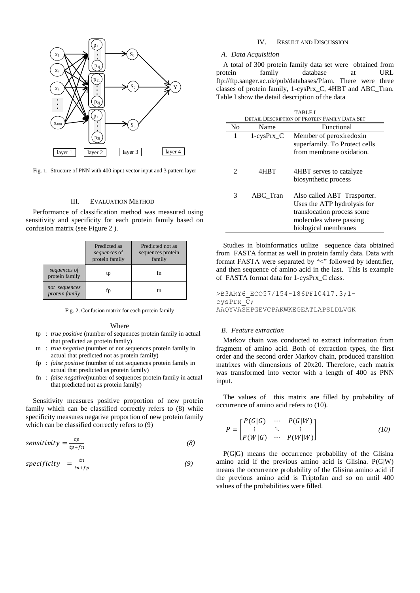

Fig. 1. Structure of PNN with 400 input vector input and 3 pattern layer

#### III. EVALUATION METHOD

Performance of classification method was measured using sensitivity and specificity for each protein family based on confusion matrix (see Figure 2 ).

|                                 | Predicted as<br>sequences of<br>protein family | Predicted not as<br>sequences protein<br>family |
|---------------------------------|------------------------------------------------|-------------------------------------------------|
| sequences of<br>protein family  | tp                                             | fn                                              |
| not sequences<br>protein family | İp                                             | tn                                              |

Fig. 2. Confusion matrix for each protein family

#### Where

- tp : *true positive* (number of sequences protein family in actual that predicted as protein family)
- tn : *true negative* (number of not sequences protein family in actual that predicted not as protein family)
- fp : *false positive* (number of not sequences protein family in actual that predicted as protein family)
- fn : *false negative*(number of sequences protein family in actual that predicted not as protein family)

Sensitivity measures positive proportion of new protein family which can be classified correctly refers to (8) while specificity measures negative proportion of new protein family which can be classified correctly refers to (9)

$$
sensitivity = \frac{tp}{tp + fn} \tag{8}
$$

$$
specificity = \frac{tn}{tn + fp} \tag{9}
$$

### IV. RESULT AND DISCUSSION

#### *A. Data Acquisition*

A total of 300 protein family data set were obtained from protein family database at URL [ftp://ftp.sanger.ac.uk/pub/databases/Pfam.](ftp://ftp.sanger.ac.uk/pub/databases/Pfam) There were three classes of protein family, 1-cysPrx\_C, 4HBT and ABC\_Tran. Table I show the detail description of the data

| TABLE I                                       |              |                                                                                                                                             |  |  |  |
|-----------------------------------------------|--------------|---------------------------------------------------------------------------------------------------------------------------------------------|--|--|--|
| DETAIL DESCRIPTION OF PROTEIN FAMILY DATA SET |              |                                                                                                                                             |  |  |  |
| N <sub>0</sub>                                | Name         | Functional                                                                                                                                  |  |  |  |
| 1                                             | $1-cysPrx$ C | Member of peroxiredoxin<br>superfamily. To Protect cells<br>from membrane oxidation.                                                        |  |  |  |
| 2                                             | 4HBT         | 4HBT serves to catalyze<br>biosynthetic process                                                                                             |  |  |  |
| 3                                             | ABC Tran     | Also called ABT Trasporter.<br>Uses the ATP hydrolysis for<br>translocation process some<br>molecules where passing<br>biological membranes |  |  |  |

Studies in bioinformatics utilize sequence data obtained from FASTA format as well in protein family data. Data with format FASTA were separated by "<" followed by identifier, and then sequence of amino acid in the last. This is example of FASTA format data for 1-cysPrx\_C class.

>B3ARY6\_ECO57/154-186PF10417.3;1 cysPrx\_C; AAQYVASHPGEVCPAKWKEGEATLAPSLDLVGK

#### *B. Feature extraction*

Markov chain was conducted to extract information from fragment of amino acid. Both of extraction types, the first order and the second order Markov chain, produced transition matrixes with dimensions of 20x20. Therefore, each matrix was transformed into vector with a length of 400 as PNN input.

The values of this matrix are filled by probability of occurrence of amino acid refers to (10).

$$
P = \begin{bmatrix} P(G|G) & \cdots & P(G|W) \\ \vdots & \ddots & \vdots \\ P(W|G) & \cdots & P(W|W) \end{bmatrix}
$$
 (10)

P(G|G) means the occurrence probability of the Glisina amino acid if the previous amino acid is Glisina. P(G|W) means the occurrence probability of the Glisina amino acid if the previous amino acid is Triptofan and so on until 400 values of the probabilities were filled.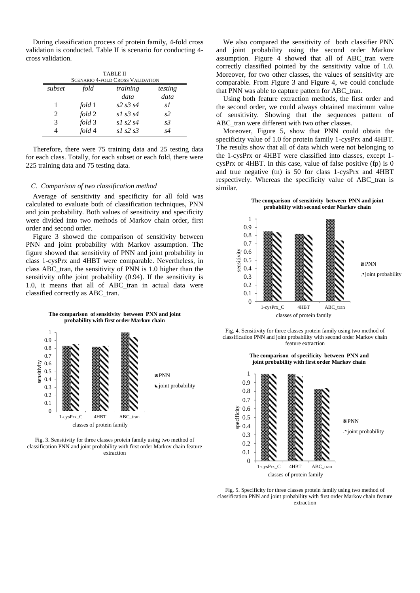During classification process of protein family, 4-fold cross validation is conducted. Table II is scenario for conducting 4 cross validation.

| <b>TABLE II</b>                         |        |                  |                |  |  |  |
|-----------------------------------------|--------|------------------|----------------|--|--|--|
| <b>SCENARIO 4-FOLD CROSS VALIDATION</b> |        |                  |                |  |  |  |
| subset                                  | fold   | training         | testing        |  |  |  |
|                                         |        | data             | data           |  |  |  |
|                                         | fold 1 | $s2 \, s3 \, s4$ | s1             |  |  |  |
| $\mathcal{L}$                           | fold 2 | $s1$ $s3$ $s4$   | s2             |  |  |  |
| $\mathcal{R}$                           | fold 3 | $s1$ s2 s4       | s <sub>3</sub> |  |  |  |
|                                         | fold 4 | $s1$ s2 s3       | s4             |  |  |  |

Therefore, there were 75 training data and 25 testing data for each class. Totally, for each subset or each fold, there were 225 training data and 75 testing data.

#### *C. Comparison of two classification method*

Average of sensitivity and specificity for all fold was calculated to evaluate both of classification techniques, PNN and join probability. Both values of sensitivity and specificity were divided into two methods of Markov chain order, first order and second order.

Figure 3 showed the comparison of sensitivity between PNN and joint probability with Markov assumption. The figure showed that sensitivity of PNN and joint probability in class 1-cysPrx and 4HBT were comparable. Nevertheless, in class ABC\_tran, the sensitivity of PNN is 1.0 higher than the sensitivity ofthe joint probability (0.94). If the sensitivity is 1.0, it means that all of ABC\_tran in actual data were classified correctly as ABC\_tran.

**The comparison of sensitivity between PNN and joint probability with first order Markov chain** 



Fig. 3. Sensitivity for three classes protein family using two method of classification PNN and joint probability with first order Markov chain feature extraction

We also compared the sensitivity of both classifier PNN and joint probability using the second order Markov assumption. Figure 4 showed that all of ABC tran were correctly classified pointed by the sensitivity value of 1.0. Moreover, for two other classes, the values of sensitivity are comparable. From Figure 3 and Figure 4, we could conclude that PNN was able to capture pattern for ABC tran.

Using both feature extraction methods, the first order and the second order, we could always obtained maximum value of sensitivity. Showing that the sequences pattern of ABC tran were different with two other classes.

Moreover, Figure 5, show that PNN could obtain the specificity value of 1.0 for protein family 1-cysPrx and 4HBT. The results show that all of data which were not belonging to the 1-cysPrx or 4HBT were classified into classes, except 1 cysPrx or 4HBT. In this case, value of false positive (fp) is 0 and true negative (tn) is 50 for class 1-cysPrx and 4HBT respectively. Whereas the specificity value of ABC\_tran is similar.





Fig. 4. Sensitivity for three classes protein family using two method of classification PNN and joint probability with second order Markov chain feature extraction

**The comparison of specificity between PNN and** 



Fig. 5. Specificity for three classes protein family using two method of classification PNN and joint probability with first order Markov chain feature extraction